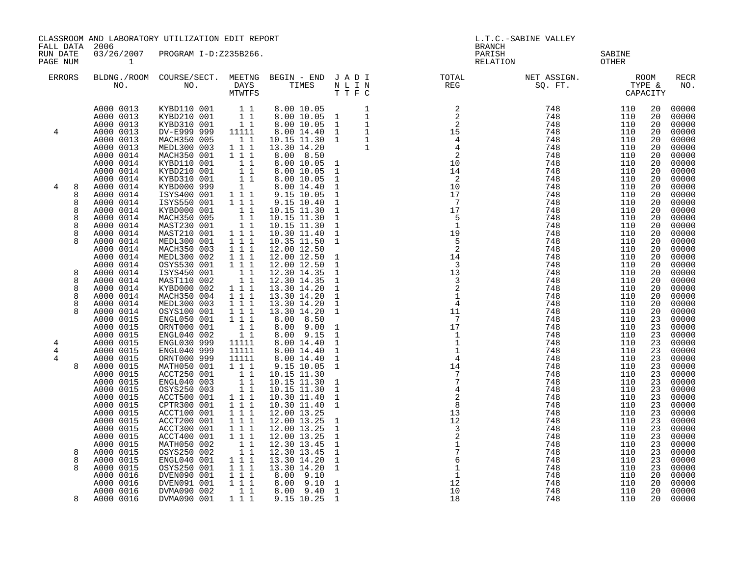| FALL DATA             | 2006                                                                                                 | CLASSROOM AND LABORATORY UTILIZATION EDIT REPORT                                                                     |                                                                                                                                                                    | <b>BRANCH</b>                                                                                                                                                                                                                                                                                  | L.T.C.-SABINE VALLEY                                                                                         |                                                                                                                                  |                                                      |                                                      |                                              |                                                                      |
|-----------------------|------------------------------------------------------------------------------------------------------|----------------------------------------------------------------------------------------------------------------------|--------------------------------------------------------------------------------------------------------------------------------------------------------------------|------------------------------------------------------------------------------------------------------------------------------------------------------------------------------------------------------------------------------------------------------------------------------------------------|--------------------------------------------------------------------------------------------------------------|----------------------------------------------------------------------------------------------------------------------------------|------------------------------------------------------|------------------------------------------------------|----------------------------------------------|----------------------------------------------------------------------|
| RUN DATE<br>PAGE NUM  | $\mathbf{1}$                                                                                         | 03/26/2007 PROGRAM I-D:Z235B266.                                                                                     |                                                                                                                                                                    |                                                                                                                                                                                                                                                                                                |                                                                                                              | PARISH<br>RELATION                                                                                                               |                                                      | SABINE<br>OTHER                                      |                                              |                                                                      |
| <b>ERRORS</b>         |                                                                                                      |                                                                                                                      |                                                                                                                                                                    |                                                                                                                                                                                                                                                                                                |                                                                                                              | BLDNG./ROOM COURSE/SECT. MEETNG BEGIN – END JADI TOTAL NET ASSIGN. NET ASSIGN. NOOM NO. DAYS TIMES NLIN REG SQ.FT. TYPE &        |                                                      |                                                      |                                              | <b>RECR</b><br>NO.                                                   |
| 4                     | A000 0013<br>A000 0013<br>A000 0013<br>A000 0013<br>A000 0013<br>A000 0013<br>A000 0014              | KYBD110 001 1 1<br>KYBD210 001 1 1<br>KYBD310 001 1 1<br>DV-E999 999<br>MACH350 005<br>MEDL300 003<br>MACH350 001    | 11111<br>$1\quad1$<br>1 1 1<br>111                                                                                                                                 | $\begin{tabular}{lllllllllll} \hline $\circ$ \ldots 00$ & $10\,\, .05$ & & & & & & 1\\ \hline 8\, , 00& 10\, .05& 1 & & & 1\\ 8\, .00& 10\, .05& 1 & & & 1\\ 8\, .00& 14\, .40& 1 & & & 1\\ 10\, .15& 11\, .30& 1 & & 1\\ 13\, .30& 14\, .20 & & & 1\\ 8\, .00& 8\, .50 & & & & \end{tabular}$ |                                                                                                              |                                                                                                                                  |                                                      | 110<br>110<br>110<br>110<br>110<br>110<br>110        | 20<br>20<br>20<br>20<br>20<br>20<br>20       | 00000<br>00000<br>00000<br>00000<br>00000<br>00000<br>00000          |
| 4<br>8                | A000 0014<br>A000 0014<br>A000 0014<br>A000 0014<br>A000 0014<br>A000 0014                           | KYBD110 001<br>KYBD210 001<br>KYBD310 001<br>KYBD000 999<br>ISYS400 001<br>ISYS550 001                               | $\begin{array}{c} 1 \\ 1 \\ 1 \\ 1 \\ 1 \\ 1 \\ \end{array}$<br>1 1 1<br>1 1 1                                                                                     | 8.00 10.05 1<br>8.00 10.05<br>8.00 10.05<br>8.00 14.40<br>9.15 10.05<br>$9.15\ 10.40$                                                                                                                                                                                                          | $\mathbf{1}$<br>$\mathbf{1}$<br>$\mathbf{1}$<br>$\mathbf{1}$<br>$\mathbf{1}$                                 | 10<br>17<br>$\overline{7}$                                                                                                       | 748<br>748<br>748                                    | 110<br>110<br>110<br>110<br>110<br>110               | 20<br>20<br>20<br>20<br>20<br>20             | 00000<br>00000<br>00000<br>00000<br>00000<br>00000                   |
| 8<br>8<br>8<br>8<br>8 | A000 0014<br>A000 0014<br>A000 0014<br>A000 0014<br>A000 0014<br>A000 0014                           | KYBD000 001<br>MACH350 005<br>MAST230 001<br>MAST210 001<br>MEDL300 001<br>MACH350 003                               | $\begin{array}{c} 1\\ 1\\ 1\\ 1\\ 1\\ \end{array}$<br>1 1 1<br>$1 1 1$<br>1 1 1                                                                                    | 10.15 11.30<br>10.15 11.30<br>10.15 11.30<br>10.30 11.40<br>10.35 11.50<br>12.00 12.50                                                                                                                                                                                                         | $\mathbf{1}$<br>$\mathbf{1}$<br>$\mathbf{1}$<br>$\mathbf{1}$<br>$\mathbf{1}$                                 | 17<br>$5^{\circ}$<br>$\overline{1}$<br>19<br>$-5$<br>$\overline{2}$                                                              | 748<br>748<br>748<br>748<br>748<br>748               | 110<br>110<br>110<br>110<br>110<br>110               | 20<br>20<br>20<br>20<br>20<br>20             | 00000<br>00000<br>00000<br>00000<br>00000<br>00000                   |
| 8<br>8<br>8<br>8<br>8 | A000 0014<br>A000 0014<br>A000 0014<br>A000 0014<br>A000 0014<br>A000 0014<br>A000 0014              | MEDL300 002<br>OSYS530 001<br>ISYS450 001<br>MAST110 002<br>KYBD000 002<br>MACH350 004<br>MEDL300 003                | 111<br>1 1 1<br>$\begin{array}{c} 1\\ 1\\ 1\\ 1 \end{array}$<br>1 1 1<br>1 1 1<br>111                                                                              | 12.00 12.50<br>12.00 12.50<br>12.30 14.35<br>12.30 14.35<br>13.30 14.20<br>13.30 14.20<br>13.30 14.20                                                                                                                                                                                          | $\mathbf{1}$<br>$\mathbf{1}$<br>$\mathbf{1}$<br>$\mathbf{1}$<br>$\mathbf{1}$<br>$\mathbf{1}$<br>$\mathbf{1}$ | 14<br>$\overline{\phantom{a}}$<br>13<br>$\overline{\phantom{a}}$<br>$\overline{2}$<br>$\overline{\phantom{0}}$<br>$\overline{4}$ | 748<br>748<br>748<br>748<br>748<br>748<br>748        | 110<br>110<br>110<br>110<br>110<br>110<br>110        | 20<br>20<br>20<br>20<br>20<br>20<br>20       | 00000<br>00000<br>00000<br>00000<br>00000<br>00000<br>00000          |
| 4<br>4                | A000 0014<br>A000 0015<br>A000 0015<br>A000 0015<br>A000 0015<br>A000 0015                           | OSYS100 001<br>ENGL050 001<br>ORNT000 001<br>ENGL040 002<br>ENGL030 999<br>ENGL040 999                               | $1 1 1$<br>111<br>$\begin{array}{c} 1\\ 1\\ 1\\ 1 \end{array}$<br>11111<br>11111                                                                                   | 13.30 14.20<br>8.00 8.50<br>8.00 9.00<br>8.00 9.15<br>8.00 14.40<br>8.00 14.40                                                                                                                                                                                                                 | $\mathbf{1}$<br>$\mathbf{1}$<br>$\mathbf{1}$<br>$\mathbf{1}$<br>$\mathbf{1}$                                 | 11<br>$\overline{7}$<br>17<br>1<br>$\mathbf{1}$<br>1                                                                             | 748<br>748<br>748<br>748<br>748<br>748               | 110<br>110<br>110<br>110<br>110<br>110               | 20<br>23<br>23<br>23<br>23<br>23             | 00000<br>00000<br>00000<br>00000<br>00000<br>00000                   |
| 4<br>8                | A000 0015<br>A000 0015<br>A000 0015<br>A000 0015<br>A000 0015<br>A000 0015<br>A000 0015<br>A000 0015 | ORNT000 999<br>MATH050 001<br>ACCT250 001<br>ENGL040 003<br>OSYS250 003<br>ACCT500 001<br>CPTR300 001<br>ACCT100 001 | 11111<br>111<br>$\begin{array}{rrrr} & 1 & 1 \\ & 1 & 1 \\ & 1 & 1 \\ & & 1 & 1 \end{array}$<br>1 1 1<br>$1 1 1$<br>$\begin{array}{ccc} 1&1&1\\ 1&1&1 \end{array}$ | 8.00 14.40<br>9.15 10.05<br>10.15 11.30<br>10.15 11.30<br>10.15 11.30<br>10.30 11.40<br>10.30 11.40<br>12.00 13.25                                                                                                                                                                             | $\mathbf{1}$<br>$\mathbf{1}$<br>$\mathbf{1}$<br>$\mathbf{1}$<br>$\mathbf{1}$<br>$\mathbf{1}$                 | $\overline{4}$<br>$1\overline{4}$<br>$\overline{7}$<br>$\overline{7}$<br>$\frac{7}{4}$<br>$\overline{c}$<br>8<br>13              | 748<br>748<br>748<br>748<br>748<br>748<br>748<br>748 | 110<br>110<br>110<br>110<br>110<br>110<br>110<br>110 | 23<br>23<br>23<br>23<br>23<br>23<br>23<br>23 | 00000<br>00000<br>00000<br>00000<br>00000<br>00000<br>00000<br>00000 |
| 8<br>8                | A000 0015<br>A000 0015<br>A000 0015<br>A000 0015<br>A000 0015<br>A000 0015<br>A000 0015<br>A000 0016 | ACCT200 001<br>ACCT300 001<br>ACCT400 001<br>MATH050 002<br>OSYS250 002<br>ENGL040 001<br>OSYS250 001<br>DVEN090 001 | 111<br>$1\ 1\ 1$<br>$\begin{array}{rr} & 1 & 1 \\ & 1 & 1 \end{array}$<br>$1 1 1$<br>$1 1 1$<br>$1 1 1$                                                            | 12.00 13.25<br>12.00 13.25<br>12.00 13.25<br>12.30 13.45<br>12.30 13.45<br>13.30 14.20<br>13.30 14.20<br>8.00 9.10                                                                                                                                                                             | $\mathbf{1}$<br>$\mathbf{1}$<br>$\mathbf{1}$<br>$\mathbf{1}$<br>$\mathbf{1}$<br>$\mathbf{1}$<br>$\mathbf{1}$ | $\frac{12}{3}$<br>$\frac{2}{1}$<br>$\overline{6}$<br>$\mathbf{1}$<br>$\mathbf{1}$                                                | 748<br>748<br>748<br>748<br>748<br>748<br>748<br>748 | 110<br>110<br>110<br>110<br>110<br>110<br>110<br>110 | 23<br>23<br>23<br>23<br>23<br>23<br>23<br>20 | 00000<br>00000<br>00000<br>00000<br>00000<br>00000<br>00000<br>00000 |
| 8                     | A000 0016<br>A000 0016<br>A000 0016                                                                  | DVEN091 001<br>DVMA090 002<br>DVMA090 001 111                                                                        | 111<br>11                                                                                                                                                          | 8.00 9.10<br>$8.00$ $9.40$<br>9.15 10.25                                                                                                                                                                                                                                                       | $\mathbf 1$<br>$1\,$<br>1                                                                                    | 12<br>10<br>18                                                                                                                   | 748<br>748<br>748                                    | 110<br>110<br>110                                    | 20<br>20<br>20                               | 00000<br>00000<br>00000                                              |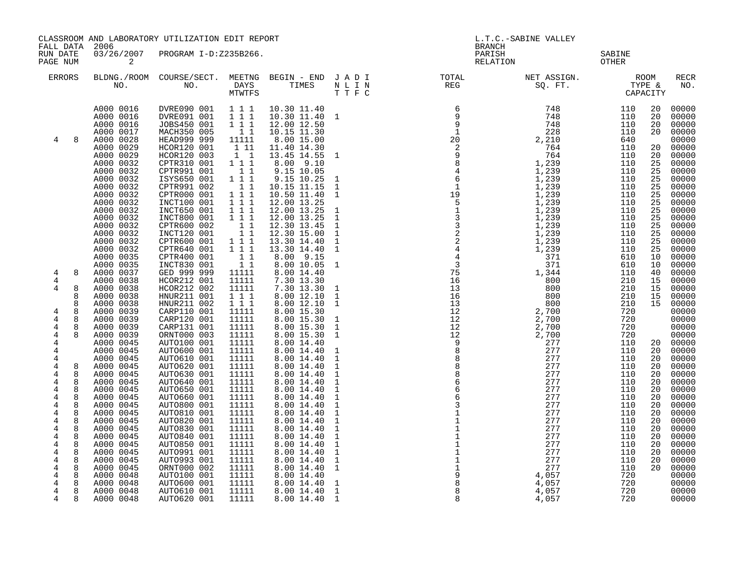|                                                                                                                         | CLASSROOM AND LABORATORY UTILIZATION EDIT REPORT                                                                                                                                                             |                                                                                                                                                                                                                                              |                                                                                                                                                                                  |                                                                                                                                                                                                                                    |                                                                                                                                                                   | L.T.C.-SABINE VALLEY                                                                                                                                                                                                                                                                     |                                                                                                                                  |                                                                                                              |                                                                                  |                                                                                                                            |
|-------------------------------------------------------------------------------------------------------------------------|--------------------------------------------------------------------------------------------------------------------------------------------------------------------------------------------------------------|----------------------------------------------------------------------------------------------------------------------------------------------------------------------------------------------------------------------------------------------|----------------------------------------------------------------------------------------------------------------------------------------------------------------------------------|------------------------------------------------------------------------------------------------------------------------------------------------------------------------------------------------------------------------------------|-------------------------------------------------------------------------------------------------------------------------------------------------------------------|------------------------------------------------------------------------------------------------------------------------------------------------------------------------------------------------------------------------------------------------------------------------------------------|----------------------------------------------------------------------------------------------------------------------------------|--------------------------------------------------------------------------------------------------------------|----------------------------------------------------------------------------------|----------------------------------------------------------------------------------------------------------------------------|
| FALL DATA<br>RUN DATE<br>PAGE NUM                                                                                       | 2006<br>03/26/2007<br>2                                                                                                                                                                                      | PROGRAM I-D:Z235B266.                                                                                                                                                                                                                        |                                                                                                                                                                                  |                                                                                                                                                                                                                                    |                                                                                                                                                                   | <b>BRANCH</b><br>PARISH<br>RELATION                                                                                                                                                                                                                                                      |                                                                                                                                  | SABINE<br>OTHER                                                                                              |                                                                                  |                                                                                                                            |
| <b>ERRORS</b>                                                                                                           | NO.                                                                                                                                                                                                          | BLDNG./ROOM COURSE/SECT. MEETNG BEGIN - END J A D I<br>NO. DAYS                                                                                                                                                                              | MTWTFS                                                                                                                                                                           | TIMES                                                                                                                                                                                                                              | N L I N<br>TTFC                                                                                                                                                   | TOTAL<br>REG                                                                                                                                                                                                                                                                             |                                                                                                                                  |                                                                                                              |                                                                                  | RECR<br>NO.                                                                                                                |
| 4                                                                                                                       | A000 0016<br>A000 0016<br>A000 0016<br>A000 0017<br>A000 0028<br>A000 0029<br>A000 0029<br>A000 0032<br>A000 0032<br>A000 0032<br>A000 0032<br>A000 0032                                                     | DVRE090 001<br>DVRE091 001<br>JOBS450 001<br>MACH350 005<br>HEAD999 999<br>HCOR120 001<br>HCOR120 003<br>CPTR310 001<br>CPTR991 001<br>ISYS650 001<br>CPTR991 002<br>CPTR000 001                                                             | 1 1 1<br>$1 1 1$<br>1 1 1<br>11<br>11111<br>1 11<br>$1\quad1$<br>111<br>$1\quad1$<br>111<br>$1\quad1$<br>$1 1 1$                                                                 | 10.30 11.40<br>10.30 11.40 1<br>12.00 12.50<br>10.15 11.30<br>8.00 15.00<br>11.40 14.30<br>13.45 14.55<br>8.00 9.10<br>9.15 10.05<br>$9.15$ $10.25$<br>10.15 11.15<br>10.50 11.40                                                  | 1<br>1<br>$\mathbf{1}$<br>$\mathbf{1}$                                                                                                                            |                                                                                                                                                                                                                                                                                          | 748<br>748<br>748<br>228<br>2, 210<br>764<br>764<br>1,239<br>1,239<br>$1,239$<br>$1,239$<br>$1,239$                              | 110<br>110<br>110<br>110<br>640<br>110<br>110<br>110<br>110<br>110<br>110<br>110                             | 20<br>20<br>20<br>20<br>20<br>20<br>25<br>25<br>25<br>25<br>25                   | 00000<br>00000<br>00000<br>00000<br>00000<br>00000<br>00000<br>00000<br>00000<br>00000<br>00000<br>00000                   |
| 8<br>4<br>4<br>8<br>4<br>8<br>8<br>4<br>8<br>8<br>4                                                                     | A000 0032<br>A000 0032<br>A000 0032<br>A000 0032<br>A000 0032<br>A000 0032<br>A000 0032<br>A000 0035<br>A000 0035<br>A000 0037<br>A000 0038<br>A000 0038<br>A000 0038<br>A000 0038<br>A000 0039<br>A000 0039 | INCT100 001<br>INCT650 001<br>INCT800 001<br>CPTR600 002<br>INCT120 001<br>CPTR600 001<br>CPTR640 001<br>CPTR400 001<br>INCT830 001<br>GED 999 999<br>HCOR212 001<br>HCOR212 002<br>HNUR211 001<br>HNUR211 002<br>CARP110 001<br>CARP120 001 | 1 1 1<br>$1 1 1$<br>1 1 1<br>$1\quad1$<br>$1\quad1$<br>1 1 1<br>111<br>$\begin{array}{cc} 1 & 1 \\ 1 & 1 \end{array}$<br>11111<br>11111<br>11111<br>111<br>111<br>11111<br>11111 | 12.00 13.25<br>12.00 13.25<br>12.00 13.25<br>12.30 13.45<br>12.30 15.00<br>13.30 14.40<br>13.30 14.40<br>8.00 9.15<br>8.00 10.05<br>8.00 14.40<br>7.30 13.30<br>7.30 13.30<br>8.00 12.10<br>8.00 12.10<br>8.00 15.30<br>8.00 15.30 | $\mathbf{1}$<br>$\mathbf{1}$<br>$\mathbf{1}$<br>$\mathbf{1}$<br>$\mathbf{1}$<br>1<br>$\mathbf{1}$<br>$\mathbf{1}$<br>$\mathbf{1}$<br>$\mathbf{1}$<br>$\mathbf{1}$ | $\begin{array}{cccccc} & 6 & 9 & 9 & 1 \\ & 9 & 9 & 1 & 1 \\ & 2 & 2 & 2 & 9 \\ & 2 & 2 & 9 & 8 & 4 \\ & 4 & 6 & 1 & 1 \\ & 1 & 9 & 5 & 1 \\ & 3 & 3 & 2 & 2 & 2 \\ & 2 & 2 & 2 & 2 & 4 \\ & 4 & 4 & 3 & 3 & 7 \\ & 1 & 3 & 1 & 1 & 3 \\ & 1 & 3 & 1 & 2 & 1 \\ \end{array}$<br>13<br>12 | 1,239<br>1,239<br>1,239<br>1,239<br>1,239<br>1,239<br>1,239<br>371<br>371<br>1,344<br>800<br>800<br>800<br>800<br>2,700<br>2,700 | 110<br>110<br>110<br>110<br>110<br>110<br>110<br>610<br>610<br>110<br>210<br>210<br>210<br>210<br>720<br>720 | 25<br>25<br>25<br>25<br>25<br>25<br>25<br>10<br>10<br>40<br>15<br>15<br>15<br>15 | 00000<br>00000<br>00000<br>00000<br>00000<br>00000<br>00000<br>00000<br>00000<br>00000<br>00000<br>00000<br>00000<br>00000 |
| 4<br>8<br>4<br>4<br>4<br>4<br>4<br>8<br>$\overline{4}$<br>8<br>4<br>8                                                   | A000 0039<br>A000 0039<br>A000 0045<br>A000 0045<br>A000 0045<br>A000 0045<br>A000 0045<br>A000 0045<br>A000 0045                                                                                            | CARP131 001<br>ORNT000 003<br>AUTO100 001<br>AUTO600 001<br>AUTO610 001<br>AUTO620 001<br>AUTO630 001<br>AUTO640 001                                                                                                                         | 11111<br>11111<br>11111<br>11111<br>11111<br>11111<br>11111<br>11111                                                                                                             | 8.00 15.30<br>8.00 15.30<br>8.00 14.40<br>8.00 14.40<br>8.00 14.40<br>8.00 14.40<br>8.00 14.40<br>8.00 14.40                                                                                                                       | $\mathbf{1}$<br>$\mathbf{1}$<br>$\mathbf{1}$<br>$\mathbf{1}$<br>$\mathbf{1}$<br>$\mathbf{1}$<br>$\mathbf{1}$<br>$\mathbf{1}$                                      | $\frac{12}{12}$<br>$\frac{12}{12}$<br>$\overline{9}$<br>$\overline{8}$<br>8<br>$\overline{8}$<br>$\begin{array}{c} 8 \\ 6 \end{array}$<br>$6\overline{6}$                                                                                                                                | 2,700<br>2,700<br>277<br>277<br>277<br>277<br>277<br>277<br>277                                                                  | 720<br>720<br>110<br>110<br>110<br>110<br>110<br>110                                                         | 20<br>20<br>20<br>20<br>20                                                       | $00000$<br>00000<br>00000<br>20 00000<br>00000<br>00000<br>00000<br>00000<br>00000<br>00000                                |
| 4<br>8<br>4<br>8<br>4<br>8<br>$\overline{4}$<br>8<br>4<br>8<br>4<br>8<br>4<br>8<br>8<br>4<br>4<br>8<br>4<br>8<br>4<br>8 | A000 0045<br>A000 0045<br>A000 0045<br>A000 0045<br>A000 0045<br>A000 0045<br>A000 0045<br>A000 0045<br>A000 0045<br>A000 0045                                                                               | AUTO650 001<br>AUTO660 001<br>AUTO800 001<br>AUTO810 001<br>AUTO820 001<br>AUTO830 001<br>AUTO840 001<br>AUTO850 001<br>AUTO991 001<br>AUTO993 001<br>ORNT000 002                                                                            | 11111<br>11111<br>11111<br>11111<br>11111<br>11111<br>11111<br>11111<br>11111<br>11111<br>11111                                                                                  | 8.00 14.40<br>8.00 14.40<br>8.00 14.40<br>8.00 14.40<br>8.00 14.40<br>8.00 14.40<br>8.00 14.40<br>8.00 14.40<br>8.00 14.40<br>8.00 14.40<br>8.00 14.40                                                                             | $\mathbf{1}$<br>$\mathbf{1}$<br>$\mathbf{1}$<br>$\mathbf{1}$<br>$\mathbf{1}$<br>$\mathbf{1}$<br>$\mathbf{1}$<br>$\mathbf{1}$<br>$\mathbf 1$<br>$\mathbf{1}$       | $\overline{6}$<br>3<br>$\mathbf{1}$                                                                                                                                                                                                                                                      | 277<br>277<br>277<br>277<br>277<br>277<br>277<br>277<br>277<br>277                                                               | 110<br>110<br>110<br>110<br>110<br>110<br>110<br>110<br>110<br>110<br>110                                    | 20<br>20<br>20<br>20<br>20<br>20<br>20<br>20<br>20<br>20<br>20                   | 00000<br>00000<br>00000<br>00000<br>00000<br>00000<br>00000<br>00000<br>$00000$<br>00000                                   |
| 4<br>8<br>4<br>8<br>4<br>8<br>4<br>8                                                                                    | A000 0048<br>A000 0048<br>A000 0048<br>A000 0048                                                                                                                                                             | AUTO100 001<br>AUTO600 001<br>AUTO610 001<br>AUTO620 001                                                                                                                                                                                     | 11111<br>11111<br>11111<br>11111                                                                                                                                                 | 8.00 14.40<br>8.00 14.40<br>8.00 14.40<br>8.00 14.40                                                                                                                                                                               | $\mathbf{1}$<br>$\mathbf{1}$<br>$\mathbf{1}$                                                                                                                      | 8<br>8<br>8                                                                                                                                                                                                                                                                              | 4,057<br>4,057<br>4,057<br>4,057                                                                                                 | 720<br>720<br>720<br>720                                                                                     |                                                                                  | 00000<br>00000<br>00000<br>00000                                                                                           |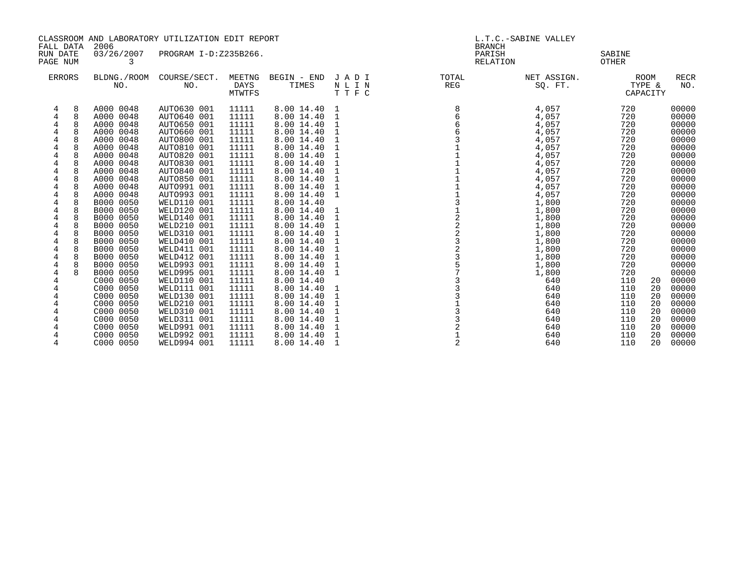| CLASSROOM AND LABORATORY UTILIZATION EDIT REPORT                             |                                                                                                                                                                                                                                                                                                                                                                                                                                                              |                                                                                                                                                                                                                                                                                                                                                                                                                                                 |                                                                                                                                                                                                                                                                   |                                                                                                                                                                                                                                                                                                                                                                                                                    |                                                                                   | L.T.C.-SABINE VALLEY                                        |                                                                                                                                                                                                                                                     |                                                                                                                                                                                                                                                   |                                                                                                                                                                                                                                                                   |
|------------------------------------------------------------------------------|--------------------------------------------------------------------------------------------------------------------------------------------------------------------------------------------------------------------------------------------------------------------------------------------------------------------------------------------------------------------------------------------------------------------------------------------------------------|-------------------------------------------------------------------------------------------------------------------------------------------------------------------------------------------------------------------------------------------------------------------------------------------------------------------------------------------------------------------------------------------------------------------------------------------------|-------------------------------------------------------------------------------------------------------------------------------------------------------------------------------------------------------------------------------------------------------------------|--------------------------------------------------------------------------------------------------------------------------------------------------------------------------------------------------------------------------------------------------------------------------------------------------------------------------------------------------------------------------------------------------------------------|-----------------------------------------------------------------------------------|-------------------------------------------------------------|-----------------------------------------------------------------------------------------------------------------------------------------------------------------------------------------------------------------------------------------------------|---------------------------------------------------------------------------------------------------------------------------------------------------------------------------------------------------------------------------------------------------|-------------------------------------------------------------------------------------------------------------------------------------------------------------------------------------------------------------------------------------------------------------------|
| FALL DATA<br>RUN DATE<br>PAGE NUM                                            | 2006<br>03/26/2007<br>3                                                                                                                                                                                                                                                                                                                                                                                                                                      | PROGRAM I-D:Z235B266.                                                                                                                                                                                                                                                                                                                                                                                                                           |                                                                                                                                                                                                                                                                   |                                                                                                                                                                                                                                                                                                                                                                                                                    |                                                                                   | <b>BRANCH</b><br>PARISH<br><b>RELATION</b>                  |                                                                                                                                                                                                                                                     | SABINE<br><b>OTHER</b>                                                                                                                                                                                                                            |                                                                                                                                                                                                                                                                   |
| <b>ERRORS</b>                                                                | BLDNG./ROOM<br>NO.                                                                                                                                                                                                                                                                                                                                                                                                                                           | COURSE/SECT.<br>NO.                                                                                                                                                                                                                                                                                                                                                                                                                             | MEETNG<br>DAYS<br>MTWTFS                                                                                                                                                                                                                                          | BEGIN - END<br>TIMES                                                                                                                                                                                                                                                                                                                                                                                               | JADI<br>NLIN<br>TTFC                                                              | TOTAL<br>REG                                                | NET ASSIGN.<br>SQ. FT.                                                                                                                                                                                                                              | ROOM<br>TYPE &<br>CAPACITY                                                                                                                                                                                                                        | <b>RECR</b><br>NO.                                                                                                                                                                                                                                                |
| 4<br>4<br>4<br>4<br>4<br>4<br>4<br>4<br>4<br>4<br>4<br>4<br>4<br>4<br>4<br>4 | A000 0048<br>8<br>A000 0048<br>A000 0048<br>A000 0048<br>8<br>A000 0048<br>A000 0048<br>$\mathsf{R}$<br>A000 0048<br>A000 0048<br>8<br>8<br>A000 0048<br>A000 0048<br>A000 0048<br>8<br>A000 0048<br>B000 0050<br>8<br>B000 0050<br>8<br>B000 0050<br>8<br>B000 0050<br>8<br>B000 0050<br>8<br>B000 0050<br>B000 0050<br>B000 0050<br>8<br>B000 0050<br>B000 0050<br>C000 0050<br>C000 0050<br>C000 0050<br>C000 0050<br>C000 0050<br>C000 0050<br>C000 0050 | AUTO630 001<br>AUTO640 001<br>AUTO650 001<br>AUTO660 001<br>AUTO800 001<br>AUTO810 001<br>AUTO820 001<br>AUTO830 001<br>AUTO840 001<br>AUTO850 001<br>AUTO991 001<br>AUTO993 001<br>WELD110 001<br>WELD120 001<br>WELD140 001<br>WELD210 001<br>WELD310 001<br>WELD410 001<br>WELD411 001<br>WELD412 001<br>WELD993 001<br>WELD995 001<br>WELD110 001<br>WELD111 001<br>WELD130 001<br>WELD210 001<br>WELD310 001<br>WELD311 001<br>WELD991 001 | 11111<br>11111<br>11111<br>11111<br>11111<br>11111<br>11111<br>11111<br>11111<br>11111<br>11111<br>11111<br>11111<br>11111<br>11111<br>11111<br>11111<br>11111<br>11111<br>11111<br>11111<br>11111<br>11111<br>11111<br>11111<br>11111<br>11111<br>11111<br>11111 | 8.00 14.40<br>8.00 14.40<br>8.00 14.40<br>8.00 14.40<br>8.00 14.40<br>8.00 14.40<br>8.00 14.40<br>8.00 14.40<br>8.00 14.40<br>8.00 14.40<br>8.00 14.40<br>8.00 14.40<br>8.00 14.40<br>8.00 14.40<br>8.00 14.40<br>8.00 14.40<br>8.00 14.40<br>8.00 14.40<br>8.00 14.40<br>8.00 14.40<br>8.00 14.40<br>8.00 14.40<br>8.00 14.40<br>8.00 14.40<br>8.00 14.40<br>8.00 14.40<br>8.00 14.40<br>8.00 14.40<br>8.00 14.40 | 1<br>1<br>1<br>1<br>1<br>1<br>1<br>1<br>1<br>1<br>1<br>1<br>1<br>1<br>1<br>1<br>1 | 8<br>12223357<br>$\begin{array}{c} 3 \\ 2 \\ 1 \end{array}$ | 4,057<br>4,057<br>4,057<br>4,057<br>4,057<br>4,057<br>4,057<br>4,057<br>4,057<br>4,057<br>4,057<br>4,057<br>1,800<br>1,800<br>1,800<br>1,800<br>1,800<br>1,800<br>1,800<br>1,800<br>1,800<br>1,800<br>640<br>640<br>640<br>640<br>640<br>640<br>640 | 720<br>720<br>720<br>720<br>720<br>720<br>720<br>720<br>720<br>720<br>720<br>720<br>720<br>720<br>720<br>720<br>720<br>720<br>720<br>720<br>720<br>720<br>110<br>20<br>110<br>20<br>110<br>20<br>110<br>20<br>110<br>20<br>110<br>20<br>110<br>20 | 00000<br>00000<br>00000<br>00000<br>00000<br>00000<br>00000<br>00000<br>00000<br>00000<br>00000<br>00000<br>00000<br>00000<br>00000<br>00000<br>00000<br>00000<br>00000<br>00000<br>00000<br>00000<br>00000<br>00000<br>00000<br>00000<br>00000<br>00000<br>00000 |
| 4                                                                            | C000 0050<br>C000 0050                                                                                                                                                                                                                                                                                                                                                                                                                                       | WELD992 001<br>WELD994 001                                                                                                                                                                                                                                                                                                                                                                                                                      | 11111<br>11111                                                                                                                                                                                                                                                    | 8.00 14.40<br>8.00 14.40                                                                                                                                                                                                                                                                                                                                                                                           | 1                                                                                 | 2                                                           | 640<br>640                                                                                                                                                                                                                                          | 110<br>20<br>110<br>20                                                                                                                                                                                                                            | 00000<br>00000                                                                                                                                                                                                                                                    |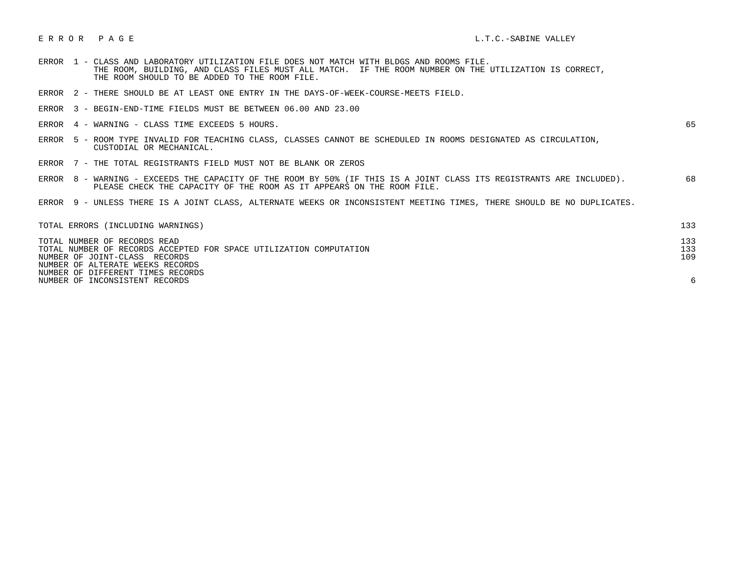## E R R O R P A G E L.T.C.-SABINE VALLEY

- ERROR 1 CLASS AND LABORATORY UTILIZATION FILE DOES NOT MATCH WITH BLDGS AND ROOMS FILE. THE ROOM, BUILDING, AND CLASS FILES MUST ALL MATCH. IF THE ROOM NUMBER ON THE UTILIZATION IS CORRECT, THE ROOM SHOULD TO BE ADDED TO THE ROOM FILE.
- ERROR 2 THERE SHOULD BE AT LEAST ONE ENTRY IN THE DAYS-OF-WEEK-COURSE-MEETS FIELD.
- ERROR 3 BEGIN-END-TIME FIELDS MUST BE BETWEEN 06.00 AND 23.00
- ERROR 4 WARNING CLASS TIME EXCEEDS 5 HOURS. 65

- ERROR 5 ROOM TYPE INVALID FOR TEACHING CLASS, CLASSES CANNOT BE SCHEDULED IN ROOMS DESIGNATED AS CIRCULATION, CUSTODIAL OR MECHANICAL.
- ERROR 7 THE TOTAL REGISTRANTS FIELD MUST NOT BE BLANK OR ZEROS
- ERROR 8 WARNING EXCEEDS THE CAPACITY OF THE ROOM BY 50% (IF THIS IS A JOINT CLASS ITS REGISTRANTS ARE INCLUDED). 68 PLEASE CHECK THE CAPACITY OF THE ROOM AS IT APPEARS ON THE ROOM FILE.
- ERROR 9 UNLESS THERE IS A JOINT CLASS, ALTERNATE WEEKS OR INCONSISTENT MEETING TIMES, THERE SHOULD BE NO DUPLICATES.

| TOTAL ERRORS (INCLUDING WARNINGS)                                  | 133 |
|--------------------------------------------------------------------|-----|
| TOTAL NUMBER OF RECORDS READ                                       | 133 |
| TOTAL NUMBER OF RECORDS ACCEPTED FOR SPACE UTILIZATION COMPUTATION | 133 |
| NUMBER OF JOINT-CLASS RECORDS                                      | 109 |
| NUMBER OF ALTERATE WEEKS RECORDS                                   |     |
| NUMBER OF DIFFERENT TIMES RECORDS                                  |     |
| NUMBER OF INCONSISTENT RECORDS                                     |     |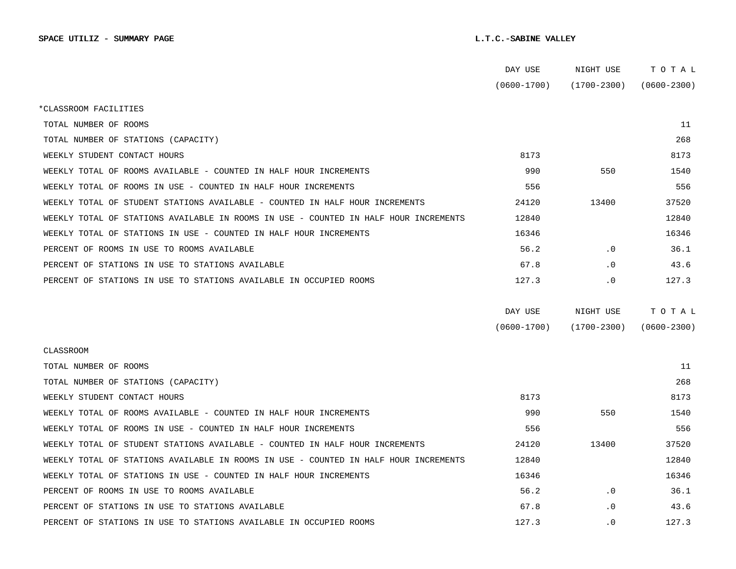|                                                                                      | DAY USE         | NIGHT USE       | TOTAL           |
|--------------------------------------------------------------------------------------|-----------------|-----------------|-----------------|
|                                                                                      | $(0600 - 1700)$ | (1700-2300)     | $(0600 - 2300)$ |
| *CLASSROOM FACILITIES                                                                |                 |                 |                 |
| TOTAL NUMBER OF ROOMS                                                                |                 |                 | 11              |
| TOTAL NUMBER OF STATIONS (CAPACITY)                                                  |                 |                 | 268             |
| WEEKLY STUDENT CONTACT HOURS                                                         | 8173            |                 | 8173            |
| WEEKLY TOTAL OF ROOMS AVAILABLE - COUNTED IN HALF HOUR INCREMENTS                    | 990             | 550             | 1540            |
| WEEKLY TOTAL OF ROOMS IN USE - COUNTED IN HALF HOUR INCREMENTS                       | 556             |                 | 556             |
| WEEKLY TOTAL OF STUDENT STATIONS AVAILABLE - COUNTED IN HALF HOUR INCREMENTS         | 24120           | 13400           | 37520           |
| WEEKLY TOTAL OF STATIONS AVAILABLE IN ROOMS IN USE - COUNTED IN HALF HOUR INCREMENTS | 12840           |                 | 12840           |
| WEEKLY TOTAL OF STATIONS IN USE - COUNTED IN HALF HOUR INCREMENTS                    | 16346           |                 | 16346           |
| PERCENT OF ROOMS IN USE TO ROOMS AVAILABLE                                           | 56.2            | $\cdot$ 0       | 36.1            |
| PERCENT OF STATIONS IN USE TO STATIONS AVAILABLE                                     | 67.8            | $\cdot$ 0       | 43.6            |
| PERCENT OF STATIONS IN USE TO STATIONS AVAILABLE IN OCCUPIED ROOMS                   | 127.3           | $\cdot$ 0       | 127.3           |
|                                                                                      |                 |                 |                 |
|                                                                                      | DAY USE         | NIGHT USE       | TOTAL           |
|                                                                                      | $(0600 - 1700)$ | $(1700 - 2300)$ | $(0600 - 2300)$ |
| CLASSROOM                                                                            |                 |                 |                 |
| TOTAL NUMBER OF ROOMS                                                                |                 |                 | 11              |
| TOTAL NUMBER OF STATIONS (CAPACITY)                                                  |                 |                 | 268             |
| WEEKLY STUDENT CONTACT HOURS                                                         | 8173            |                 | 8173            |
| WEEKLY TOTAL OF ROOMS AVAILABLE - COUNTED IN HALF HOUR INCREMENTS                    | 990             | 550             | 1540            |
| WEEKLY TOTAL OF ROOMS IN USE - COUNTED IN HALF HOUR INCREMENTS                       | 556             |                 | 556             |
| WEEKLY TOTAL OF STUDENT STATIONS AVAILABLE - COUNTED IN HALF HOUR INCREMENTS         | 24120           | 13400           | 37520           |
| WEEKLY TOTAL OF STATIONS AVAILABLE IN ROOMS IN USE - COUNTED IN HALF HOUR INCREMENTS | 12840           |                 | 12840           |
| WEEKLY TOTAL OF STATIONS IN USE - COUNTED IN HALF HOUR INCREMENTS                    | 16346           |                 | 16346           |
| PERCENT OF ROOMS IN USE TO ROOMS AVAILABLE                                           | 56.2            | $\cdot$ 0       | 36.1            |
| PERCENT OF STATIONS IN USE TO STATIONS AVAILABLE                                     | 67.8            | $\cdot$ 0       | 43.6            |
| PERCENT OF STATIONS IN USE TO STATIONS AVAILABLE IN OCCUPIED ROOMS                   | 127.3           | $\cdot$ 0       | 127.3           |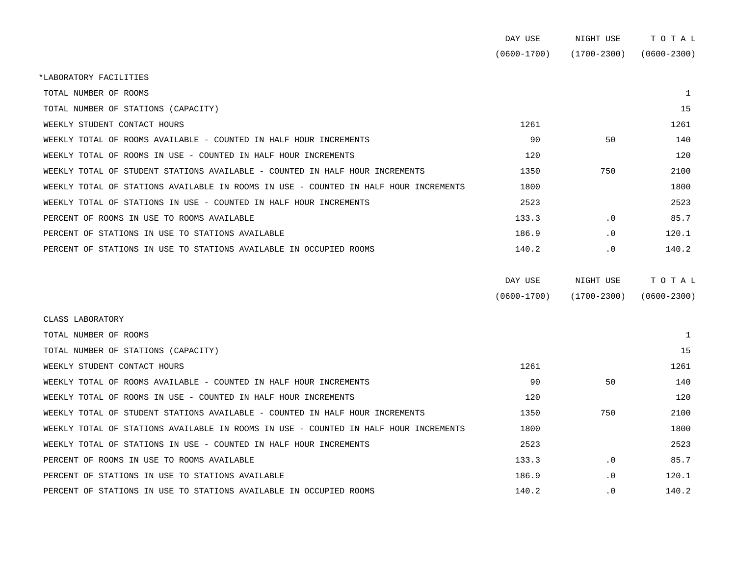|                                                                                      | DAY USE         | NIGHT USE       | TOTAL           |
|--------------------------------------------------------------------------------------|-----------------|-----------------|-----------------|
|                                                                                      | $(0600 - 1700)$ | $(1700 - 2300)$ | $(0600 - 2300)$ |
| *LABORATORY FACILITIES                                                               |                 |                 |                 |
| TOTAL NUMBER OF ROOMS                                                                |                 |                 | 1               |
| TOTAL NUMBER OF STATIONS (CAPACITY)                                                  |                 |                 | 15              |
| WEEKLY STUDENT CONTACT HOURS                                                         | 1261            |                 | 1261            |
| WEEKLY TOTAL OF ROOMS AVAILABLE - COUNTED IN HALF HOUR INCREMENTS                    | 90              | 50              | 140             |
| WEEKLY TOTAL OF ROOMS IN USE - COUNTED IN HALF HOUR INCREMENTS                       | 120             |                 | 120             |
| WEEKLY TOTAL OF STUDENT STATIONS AVAILABLE - COUNTED IN HALF HOUR INCREMENTS         | 1350            | 750             | 2100            |
| WEEKLY TOTAL OF STATIONS AVAILABLE IN ROOMS IN USE - COUNTED IN HALF HOUR INCREMENTS | 1800            |                 | 1800            |
| WEEKLY TOTAL OF STATIONS IN USE - COUNTED IN HALF HOUR INCREMENTS                    | 2523            |                 | 2523            |
| PERCENT OF ROOMS IN USE TO ROOMS AVAILABLE                                           | 133.3           | $\cdot$ 0       | 85.7            |
| PERCENT OF STATIONS IN USE TO STATIONS AVAILABLE                                     | 186.9           | $\cdot$ 0       | 120.1           |
| PERCENT OF STATIONS IN USE TO STATIONS AVAILABLE IN OCCUPIED ROOMS                   | 140.2           | $\cdot$ 0       | 140.2           |
|                                                                                      |                 |                 |                 |
|                                                                                      | DAY USE         | NIGHT USE       | TOTAL           |
|                                                                                      | $(0600 - 1700)$ | $(1700 - 2300)$ | $(0600 - 2300)$ |
|                                                                                      |                 |                 |                 |

| TOTAL NUMBER OF ROOMS                                                                |       |           |       |
|--------------------------------------------------------------------------------------|-------|-----------|-------|
| TOTAL NUMBER OF STATIONS (CAPACITY)                                                  |       |           | 15    |
| WEEKLY STUDENT CONTACT HOURS                                                         | 1261  |           | 1261  |
| WEEKLY TOTAL OF ROOMS AVAILABLE - COUNTED IN HALF HOUR INCREMENTS                    | 90    | 50        | 140   |
| WEEKLY TOTAL OF ROOMS IN USE - COUNTED IN HALF HOUR INCREMENTS                       | 120   |           | 120   |
| WEEKLY TOTAL OF STUDENT STATIONS AVAILABLE - COUNTED IN HALF HOUR INCREMENTS         | 1350  | 750       | 2100  |
| WEEKLY TOTAL OF STATIONS AVAILABLE IN ROOMS IN USE - COUNTED IN HALF HOUR INCREMENTS | 1800  |           | 1800  |
| WEEKLY TOTAL OF STATIONS IN USE - COUNTED IN HALF HOUR INCREMENTS                    | 2523  |           | 2523  |
| PERCENT OF ROOMS IN USE TO ROOMS AVAILABLE                                           | 133.3 | $\cdot$ 0 | 85.7  |
| PERCENT OF STATIONS IN USE TO STATIONS AVAILABLE                                     | 186.9 | $\cdot$ 0 | 120.1 |
| PERCENT OF STATIONS IN USE TO STATIONS AVAILABLE IN OCCUPIED ROOMS                   | 140.2 | $\cdot$ 0 | 140.2 |

CLASS LABORATORY